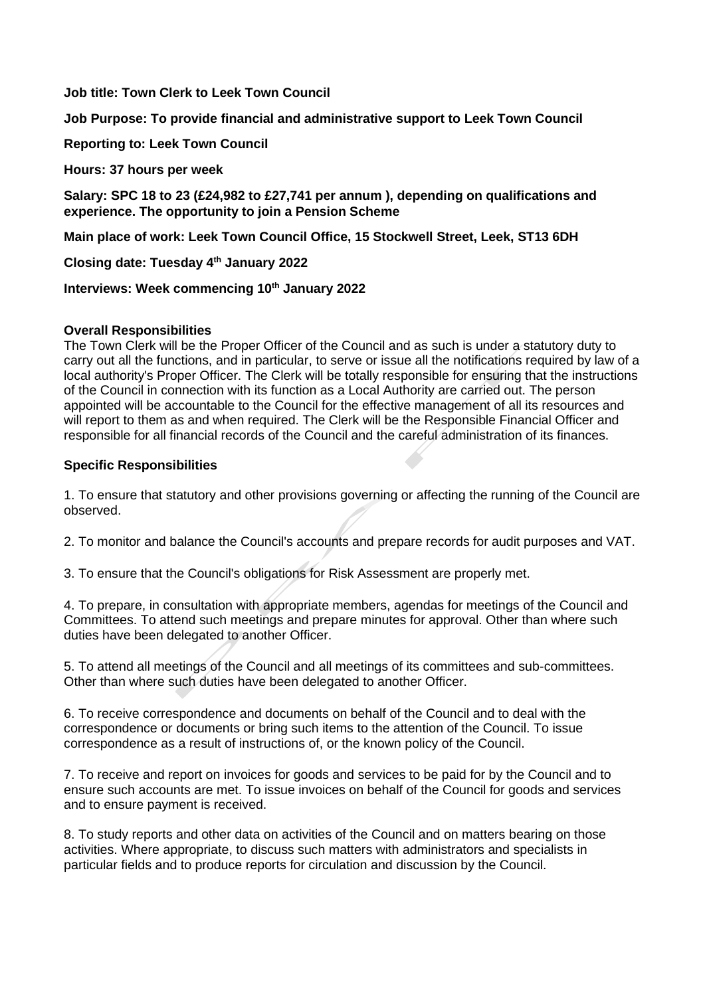**Job title: Town Clerk to Leek Town Council**

**Job Purpose: To provide financial and administrative support to Leek Town Council**

**Reporting to: Leek Town Council**

**Hours: 37 hours per week**

**Salary: SPC 18 to 23 (£24,982 to £27,741 per annum ), depending on qualifications and experience. The opportunity to join a Pension Scheme**

**Main place of work: Leek Town Council Office, 15 Stockwell Street, Leek, ST13 6DH**

**Closing date: Tuesday 4 th January 2022**

**Interviews: Week commencing 10th January 2022**

## **Overall Responsibilities**

The Town Clerk will be the Proper Officer of the Council and as such is under a statutory duty to carry out all the functions, and in particular, to serve or issue all the notifications required by law of a local authority's Proper Officer. The Clerk will be totally responsible for ensuring that the instructions of the Council in connection with its function as a Local Authority are carried out. The person appointed will be accountable to the Council for the effective management of all its resources and will report to them as and when required. The Clerk will be the Responsible Financial Officer and responsible for all financial records of the Council and the careful administration of its finances.

## **Specific Responsibilities**

1. To ensure that statutory and other provisions governing or affecting the running of the Council are observed.

2. To monitor and balance the Council's accounts and prepare records for audit purposes and VAT.

3. To ensure that the Council's obligations for Risk Assessment are properly met.

4. To prepare, in consultation with appropriate members, agendas for meetings of the Council and Committees. To attend such meetings and prepare minutes for approval. Other than where such duties have been delegated to another Officer.

5. To attend all meetings of the Council and all meetings of its committees and sub-committees. Other than where such duties have been delegated to another Officer.

6. To receive correspondence and documents on behalf of the Council and to deal with the correspondence or documents or bring such items to the attention of the Council. To issue correspondence as a result of instructions of, or the known policy of the Council.

7. To receive and report on invoices for goods and services to be paid for by the Council and to ensure such accounts are met. To issue invoices on behalf of the Council for goods and services and to ensure payment is received.

8. To study reports and other data on activities of the Council and on matters bearing on those activities. Where appropriate, to discuss such matters with administrators and specialists in particular fields and to produce reports for circulation and discussion by the Council.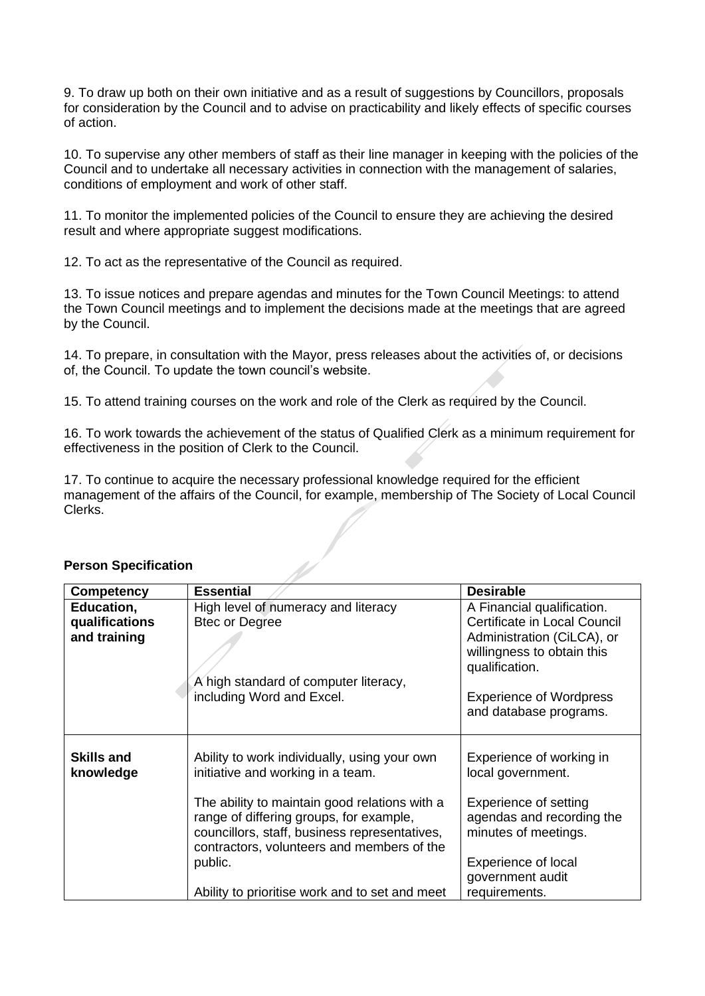9. To draw up both on their own initiative and as a result of suggestions by Councillors, proposals for consideration by the Council and to advise on practicability and likely effects of specific courses of action.

10. To supervise any other members of staff as their line manager in keeping with the policies of the Council and to undertake all necessary activities in connection with the management of salaries, conditions of employment and work of other staff.

11. To monitor the implemented policies of the Council to ensure they are achieving the desired result and where appropriate suggest modifications.

12. To act as the representative of the Council as required.

13. To issue notices and prepare agendas and minutes for the Town Council Meetings: to attend the Town Council meetings and to implement the decisions made at the meetings that are agreed by the Council.

14. To prepare, in consultation with the Mayor, press releases about the activities of, or decisions of, the Council. To update the town council's website.

15. To attend training courses on the work and role of the Clerk as required by the Council.

16. To work towards the achievement of the status of Qualified Clerk as a minimum requirement for effectiveness in the position of Clerk to the Council.

17. To continue to acquire the necessary professional knowledge required for the efficient management of the affairs of the Council, for example, membership of The Society of Local Council Clerks.

| <b>Competency</b>                            | <b>Essential</b>                                                                                                                       | <b>Desirable</b>                                                                                                                                                                                     |  |
|----------------------------------------------|----------------------------------------------------------------------------------------------------------------------------------------|------------------------------------------------------------------------------------------------------------------------------------------------------------------------------------------------------|--|
| Education,<br>qualifications<br>and training | High level of numeracy and literacy<br><b>Btec or Degree</b><br>A high standard of computer literacy,<br>including Word and Excel.     | A Financial qualification.<br>Certificate in Local Council<br>Administration (CiLCA), or<br>willingness to obtain this<br>qualification.<br><b>Experience of Wordpress</b><br>and database programs. |  |
|                                              |                                                                                                                                        |                                                                                                                                                                                                      |  |
| <b>Skills and</b><br>knowledge               | Ability to work individually, using your own<br>initiative and working in a team.<br>The ability to maintain good relations with a     | Experience of working in<br>local government.<br>Experience of setting                                                                                                                               |  |
|                                              | range of differing groups, for example,<br>councillors, staff, business representatives,<br>contractors, volunteers and members of the | agendas and recording the<br>minutes of meetings.                                                                                                                                                    |  |
|                                              | public.<br>Ability to prioritise work and to set and meet                                                                              | <b>Experience of local</b><br>government audit<br>requirements.                                                                                                                                      |  |

## **Person Specification**